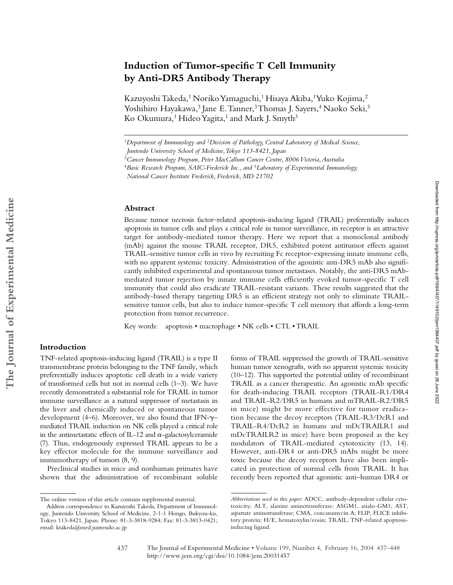# **Induction of Tumor-specific T Cell Immunity by Anti-DR5 Antibody Therapy**

Kazuyoshi Takeda,<sup>1</sup> Noriko Yamaguchi,<sup>1</sup> Hisaya Akiba,<sup>1</sup> Yuko Kojima,<sup>2</sup> Yoshihiro Hayakawa,<sup>3</sup> Jane E. Tanner,<sup>3</sup> Thomas J. Sayers,<sup>4</sup> Naoko Seki,<sup>5</sup> Ko Okumura,<sup>1</sup> Hideo Yagita,<sup>1</sup> and Mark J. Smyth<sup>3</sup>

#### **Abstract**

Because tumor necrosis factor–related apoptosis-inducing ligand (TRAIL) preferentially induces apoptosis in tumor cells and plays a critical role in tumor surveillance, its receptor is an attractive target for antibody-mediated tumor therapy. Here we report that a monoclonal antibody (mAb) against the mouse TRAIL receptor, DR5, exhibited potent antitumor effects against TRAIL-sensitive tumor cells in vivo by recruiting Fc receptor–expressing innate immune cells, with no apparent systemic toxicity. Administration of the agonistic anti-DR5 mAb also significantly inhibited experimental and spontaneous tumor metastases. Notably, the anti-DR5 mAbmediated tumor rejection by innate immune cells efficiently evoked tumor-specific T cell immunity that could also eradicate TRAIL-resistant variants. These results suggested that the antibody-based therapy targeting DR5 is an efficient strategy not only to eliminate TRAILsensitive tumor cells, but also to induce tumor-specific T cell memory that affords a long-term protection from tumor recurrence.

Key words: apoptosis • macrophage • NK cells • CTL • TRAIL

**The Journal of Experimental Medicine**

The Journal of Experimental Medicine

## **Introduction**

TNF-related apoptosis-inducing ligand (TRAIL) is a type II transmembrane protein belonging to the TNF family, which preferentially induces apoptotic cell death in a wide variety of transformed cells but not in normal cells (1–3). We have recently demonstrated a substantial role for TRAIL in tumor immune surveillance as a natural suppressor of metastasis in the liver and chemically induced or spontaneous tumor development (4–6). Moreover, we also found that IFN- $\gamma$ – mediated TRAIL induction on NK cells played a critical role in the antimetastatic effects of IL-12 and  $\alpha$ -galactosylceramide (7). Thus, endogenously expressed TRAIL appears to be a key effector molecule for the immune surveillance and immunotherapy of tumors (8, 9).

Preclinical studies in mice and nonhuman primates have shown that the administration of recombinant soluble

forms of TRAIL suppressed the growth of TRAIL-sensitive human tumor xenografts, with no apparent systemic toxicity (10–12). This supported the potential utility of recombinant TRAIL as a cancer therapeutic. An agonistic mAb specific for death-inducing TRAIL receptors (TRAIL-R1/DR4 and TRAIL-R2/DR5 in humans and mTRAIL-R2/DR5 in mice) might be more effective for tumor eradication because the decoy receptors (TRAIL-R3/DcR1 and TRAIL-R4/DcR2 in humans and mDcTRAILR1 and mDcTRAILR2 in mice) have been proposed as the key modulators of TRAIL-mediated cytotoxicity (13, 14). However, anti-DR4 or anti-DR5 mAbs might be more toxic because the decoy receptors have also been implicated in protection of normal cells from TRAIL. It has recently been reported that agonistic anti–human DR4 or

<sup>1</sup>*Department of Immunology and* <sup>2</sup>*Division of Pathology, Central Laboratory of Medical Science, Juntendo University School of Medicine, Tokyo 113-8421, Japan*

<sup>3</sup>*Cancer Immunology Program, Peter MacCallum Cancer Centre, 8006 Victoria, Australia*

<sup>4</sup>*Basic Research Program, SAIC-Frederick Inc., and* <sup>5</sup>*Laboratory of Experimental Immunology,* 

*National Cancer Institute Frederick, Frederick, MD 21702*

The online version of this article contains supplemental material.

Address correspondence to Kazuyoshi Takeda, Department of Immunology, Juntendo University School of Medicine, 2-1-1 Hongo, Bukyou-ku, Tokyo 113-8421, Japan. Phone: 81-3-3818-9284; Fax: 81-3-3813-0421; email: ktakeda@med.juntendo.ac.jp

*Abbreviations used in this paper:* ADCC, antibody-dependent cellular cytotoxicity; ALT, alanine aminotransferase; ASGM1, asialo-GM1; AST, aspartate aminotransferase; CMA, concanamycin A; FLIP, FLICE inhibitory protein; H/E, hematoxylin/eosin; TRAIL, TNF-related apoptosisinducing ligand.

<sup>437</sup> The Journal of Experimental Medicine • Volume 199, Number 4, February 16, 2004 437–448 http://www.jem.org/cgi/doi/10.1084/jem.20031457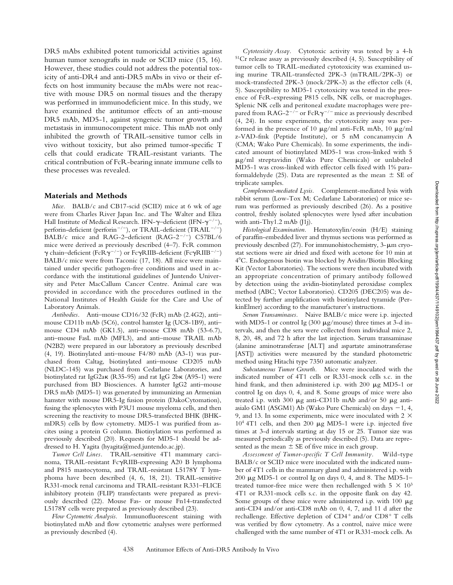DR5 mAbs exhibited potent tumoricidal activities against human tumor xenografts in nude or SCID mice (15, 16). However, these studies could not address the potential toxicity of anti-DR4 and anti-DR5 mAbs in vivo or their effects on host immunity because the mAbs were not reactive with mouse DR5 on normal tissues and the therapy was performed in immunodeficient mice. In this study, we have examined the antitumor effects of an anti–mouse DR5 mAb, MD5-1, against syngeneic tumor growth and metastasis in immunocompetent mice. This mAb not only inhibited the growth of TRAIL-sensitive tumor cells in vivo without toxicity, but also primed tumor-specific T cells that could eradicate TRAIL-resistant variants. The critical contribution of FcR-bearing innate immune cells to these processes was revealed.

#### **Materials and Methods**

*Mice.* BALB/c and CB17-scid (SCID) mice at 6 wk of age were from Charles River Japan Inc. and The Walter and Eliza Hall Institute of Medical Research. IFN- $\gamma$ -deficient (IFN- $\gamma^{-/-}$ ), perforin-deficient (perforin<sup>-/-</sup>), or TRAIL-deficient (TRAIL<sup>-/-</sup>) BALB/c mice and RAG-2-deficient (RAG-2<sup>-/-</sup>) C57BL/6 mice were derived as previously described (4–7). FcR common  $\gamma$  chain–deficient (FcR $\gamma^{-/-}$ ) or Fc $\gamma$ RIIB-deficient (Fc $\gamma$ RIIB<sup>-/-</sup>) BALB/c mice were from Taconic (17, 18). All mice were maintained under specific pathogen-free conditions and used in accordance with the institutional guidelines of Juntendo University and Peter MacCallum Cancer Centre. Animal care was provided in accordance with the procedures outlined in the National Institutes of Health Guide for the Care and Use of Laboratory Animals.

*Antibodies.* Anti–mouse CD16/32 (FcR) mAb (2.4G2), anti– mouse CD11b mAb (5C6), control hamster Ig (UC8-1B9), anti– mouse CD4 mAb (GK1.5), anti–mouse CD8 mAb (53-6.7), anti–mouse FasL mAb (MFL3), and anti–mouse TRAIL mAb (N2B2) were prepared in our laboratory as previously described (4, 19). Biotinylated anti–mouse F4/80 mAb (A3-1) was purchased from Caltag, biotinylated anti–mouse CD205 mAb (NLDC-145) was purchased from Cedarlane Laboratories, and biotinylated rat IgG2a $\kappa$  (R35-95) and rat IgG 2b $\kappa$  (A95-1) were purchased from BD Biosciences. A hamster IgG2 anti–mouse DR5 mAb (MD5-1) was generated by immunizing an Armenian hamster with mouse DR5-Ig fusion protein (DakoCytomation), fusing the splenocytes with P3U1 mouse myeloma cells, and then screening the reactivity to mouse DR5-transfected BHK (BHKmDR5) cells by flow cytometry. MD5-1 was purified from ascites using a protein G column. Biotinylation was performed as previously described (20). Requests for MD5-1 should be addressed to H. Yagita (hyagita@med.juntendo.ac.jp).

*Tumor Cell Lines.* TRAIL-sensitive 4T1 mammary carcinoma, TRAIL-resistant Fc $\gamma$ RIIB-expressing A20 B lymphoma and P815 mastocytoma, and TRAIL-resistant L5178Y T lymphoma have been described (4, 6, 18, 21). TRAIL-sensitive R331-mock renal carcinoma and TRAIL-resistant R331–FLICE inhibitory protein (FLIP) transfectants were prepared as previously described (22). Mouse Fas- or mouse Fn14-transfected L5178Y cells were prepared as previously described (23).

*Flow Cytometric Analysis.* Immunofluorescent staining with biotinylated mAb and flow cytometric analyses were performed as previously described (4).

*Cytotoxicity Assay.* Cytotoxic activity was tested by a 4-h 51Cr release assay as previously described (4, 5). Susceptibility of tumor cells to TRAIL-mediated cytotoxicity was examined using murine TRAIL-transfected 2PK-3 (mTRAIL/2PK-3) or mock-transfected 2PK-3 (mock/2PK-3) as the effector cells (4, 5). Susceptibility to MD5-1 cytotoxicity was tested in the presence of FcR-expressing P815 cells, NK cells, or macrophages. Splenic NK cells and peritoneal exudate macrophages were prepared from RAG-2<sup>-/-</sup> or FcR $\gamma^{-/-}$  mice as previously described (4, 24). In some experiments, the cytotoxicity assay was performed in the presence of 10  $\mu$ g/ml anti-FcR mAb, 10  $\mu$ g/ml z-VAD-fmk (Peptide Institute), or 5 nM concanamycin A (CMA; Wako Pure Chemicals). In some experiments, the indicated amount of biotinylated MD5-1 was cross-linked with 5  $\mu$ g/ml streptavidin (Wako Pure Chemicals) or unlabeled MD5-1 was cross-linked with effector cells fixed with 1% paraformaldehyde (25). Data are represented as the mean  $\pm$  SE of triplicate samples.

*Complement-mediated Lysis.* Complement-mediated lysis with rabbit serum (Low-Tox M; Cedarlane Laboratories) or mice serum was performed as previously described (26). As a positive control, freshly isolated splenocytes were lysed after incubation with anti-Thy1.2 mAb (J1j).

*Histological Examination.* Hematoxylin/eosin (H/E) staining of paraffin-embedded liver and thymus sections was performed as previously described  $(27)$ . For immunohistochemistry, 3- $\mu$ m cryostat sections were air dried and fixed with acetone for 10 min at 4C. Endogenous biotin was blocked by Avidin/Biotin Blocking Kit (Vector Laboratories). The sections were then incubated with an appropriate concentration of primary antibody followed by detection using the avidin-biotinylated peroxidase complex method (ABC; Vector Laboratories). CD205 (DEC205) was detected by further amplification with biotinylated tyramide (PerkinElmer) according to the manufacturer's instructions.

*Serum Transaminases.* Naive BALB/c mice were i.p. injected with MD5-1 or control Ig  $(300 \mu g/mouse)$  three times at 3-d intervals, and then the sera were collected from individual mice 2, 8, 20, 48, and 72 h after the last injection. Serum transaminase (alanine aminotransferase [ALT] and aspartate aminotransferase [AST]) activities were measured by the standard photometric method using Hitachi type 7350 automatic analyzer.

*Subcutaneous Tumor Growth.* Mice were inoculated with the indicated number of 4T1 cells or R331-mock cells s.c. in the hind frank, and then administered i.p. with 200  $\mu$ g MD5-1 or control Ig on days 0, 4, and 8. Some groups of mice were also treated i.p. with 300  $\mu$ g anti-CD11b mAb and/or 50  $\mu$ g antiasialo GM1 (ASGM1) Ab (Wako Pure Chemicals) on days  $-1$ , 4, 9, and 13. In some experiments, mice were inoculated with  $2 \times$  $10<sup>4</sup>$  4T1 cells, and then 200  $\mu$ g MD5-1 were i.p. injected five times at 3-d intervals starting at day 15 or 25. Tumor size was measured periodically as previously described (5). Data are represented as the mean  $\pm$  SE of five mice in each group.

*Assessment of Tumor-specific T Cell Immunity.* Wild-type BALB/c or SCID mice were inoculated with the indicated number of 4T1 cells in the mammary gland and administered i.p. with 200  $\mu$ g MD5-1 or control Ig on days 0, 4, and 8. The MD5-1– treated tumor-free mice were then rechallenged with  $5 \times 10^3$ 4T1 or R331-mock cells s.c. in the opposite flank on day 42. Some groups of these mice were administered i.p. with  $100 \mu$ g anti-CD4 and/or anti-CD8 mAb on 0, 4, 7, and 11 d after the rechallenge. Effective depletion of CD4<sup>+</sup> and/or CD8<sup>+</sup> T cells was verified by flow cytometry. As a control, naive mice were challenged with the same number of 4T1 or R331-mock cells. As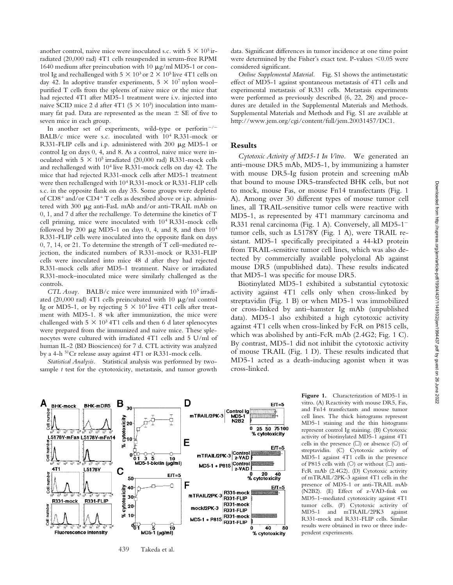another control, naive mice were inoculated s.c. with  $5 \times 10^5$  irradiated (20,000 rad) 4T1 cells resuspended in serum-free RPMI 1640 medium after preincubation with 10  $\mu$ g/ml MD5-1 or control Ig and rechallenged with  $5 \times 10^3$  or  $2 \times 10^5$  live 4T1 cells on day 42. In adoptive transfer experiments,  $5 \times 10^7$  nylon wool– purified T cells from the spleens of naive mice or the mice that had rejected 4T1 after MD5-1 treatment were i.v. injected into naive SCID mice 2 d after 4T1 ( $5 \times 10^3$ ) inoculation into mammary fat pad. Data are represented as the mean  $\pm$  SE of five to seven mice in each group.

In another set of experiments, wild-type or perform<sup>-/-</sup> BALB/c mice were s.c. inoculated with 104 R331-mock or R331-FLIP cells and i.p. administered with 200  $\mu$ g MD5-1 or control Ig on days 0, 4, and 8. As a control, naive mice were inoculated with  $5 \times 10^5$  irradiated (20,000 rad) R331-mock cells and rechallenged with 104 live R331-mock cells on day 42. The mice that had rejected R331-mock cells after MD5-1 treatment were then rechallenged with 104 R331-mock or R331-FLIP cells s.c. in the opposite flank on day 35. Some groups were depleted of CD8<sup>+</sup> and/or CD4<sup>+</sup> T cells as described above or i.p. administered with 300 µg anti-FasL mAb and/or anti-TRAIL mAb on 0, 1, and 7 d after the rechallenge. To determine the kinetics of T cell priming, mice were inoculated with 104 R331-mock cells followed by 200  $\mu$ g MD5-1 on days 0, 4, and 8, and then  $10^4$ R331-FLIP cells were inoculated into the opposite flank on days 0, 7, 14, or 21. To determine the strength of T cell–mediated rejection, the indicated numbers of R331-mock or R331-FLIP cells were inoculated into mice 48 d after they had rejected R331-mock cells after MD5-1 treatment. Naive or irradiated R331-mock–inoculated mice were similarly challenged as the controls.

*CTL Assay.* BALB/c mice were immunized with 105 irradiated (20,000 rad) 4T1 cells preincubated with 10  $\mu$ g/ml control Ig or MD5-1, or by rejecting  $5 \times 10^3$  live 4T1 cells after treatment with MD5-1. 8 wk after immunization, the mice were challenged with  $5 \times 10^3$  4T1 cells and then 6 d later splenocytes were prepared from the immunized and naive mice. These splenocytes were cultured with irradiated 4T1 cells and 5 U/ml of human IL-2 (BD Biosciences) for 7 d. CTL activity was analyzed by a 4-h 51Cr release assay against 4T1 or R331-mock cells.

*Statistical Analysis.* Statistical analysis was performed by twosample *t* test for the cytotoxicity, metastasis, and tumor growth data. Significant differences in tumor incidence at one time point were determined by the Fisher's exact test. P-values  $\leq 0.05$  were considered significant.

*Online Supplemental Material.* Fig. S1 shows the antimetastatic effect of MD5-1 against spontaneous metastasis of 4T1 cells and experimental metastasis of R331 cells. Metastasis experiments were performed as previously described (6, 22, 28) and procedures are detailed in the Supplemental Materials and Methods. Supplemental Materials and Methods and Fig. S1 are available at http://www.jem.org/cgi/content/full/jem.20031457/DC1.

#### **Results**

*Cytotoxic Activity of MD5-1 In Vitro.* We generated an anti–mouse DR5 mAb, MD5-1, by immunizing a hamster with mouse DR5-Ig fusion protein and screening mAb that bound to mouse DR5-transfected BHK cells, but not to mock, mouse Fas, or mouse Fn14 transfectants (Fig. 1 A). Among over 30 different types of mouse tumor cell lines, all TRAIL-sensitive tumor cells were reactive with MD5-1, as represented by 4T1 mammary carcinoma and R331 renal carcinoma (Fig. 1 A). Conversely, all MD5-1 tumor cells, such as L5178Y (Fig. 1 A), were TRAIL resistant. MD5-1 specifically precipitated a 44-kD protein from TRAIL-sensitive tumor cell lines, which was also detected by commercially available polyclonal Ab against mouse DR5 (unpublished data). These results indicated that MD5-1 was specific for mouse DR5.

Biotinylated MD5-1 exhibited a substantial cytotoxic activity against 4T1 cells only when cross-linked by streptavidin (Fig. 1 B) or when MD5-1 was immobilized or cross-linked by anti–hamster Ig mAb (unpublished data). MD5-1 also exhibited a high cytotoxic activity against 4T1 cells when cross-linked by FcR on P815 cells, which was abolished by anti-FcR mAb (2.4G2; Fig. 1 C). By contrast, MD5-1 did not inhibit the cytotoxic activity of mouse TRAIL (Fig. 1 D). These results indicated that MD5-1 acted as a death-inducing agonist when it was cross-linked.



**Figure 1.** Characterization of MD5-1 in vitro. (A) Reactivity with mouse DR5, Fas, and Fn14 transfectants and mouse tumor cell lines. The thick histograms represent MD5-1 staining and the thin histograms represent control Ig staining. (B) Cytotoxic activity of biotinylated MD5-1 against 4T1 cells in the presence  $(\square)$  or absence  $(\bigcirc)$  of streptavidin. (C) Cytotoxic activity of MD5-1 against 4T1 cells in the presence of P815 cells with ( $\circlearrowright$ ) or without ( $\Box$ ) anti-FcR mAb (2.4G2). (D) Cytotoxic activity of mTRAIL/2PK-3 against 4T1 cells in the presence of MD5-1 or anti-TRAIL mAb (N2B2). (E) Effect of z-VAD-fmk on MD5-1–mediated cytotoxicity against 4T1 tumor cells. (F) Cytotoxic activity of MD5-1 and mTRAIL/2PK3 against R331-mock and R331-FLIP cells. Similar results were obtained in two or three independent experiments.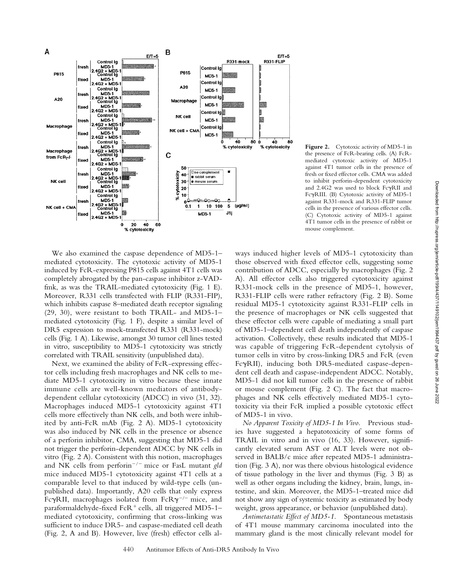

Figure 2. Cytotoxic activity of MD5-1 in the presence of FcR-bearing cells. (A) FcRmediated cytotoxic activity of MD5-1 against 4T1 tumor cells in the presence of fresh or fixed effector cells. CMA was added to inhibit perforin-dependent cytotoxicity and 2.4G2 was used to block FcyRII and FcyRIII. (B) Cytotoxic activity of MD5-1 against R331-mock and R331-FLIP tumor cells in the presence of various effector cells. (C) Cytotoxic activity of MD5-1 against 4T1 tumor cells in the presence of rabbit or mouse complement.

We also examined the caspase dependence of MD5-1– mediated cytotoxicity. The cytotoxic activity of MD5-1 induced by FcR-expressing P815 cells against 4T1 cells was completely abrogated by the pan-caspase inhibitor z-VADfmk, as was the TRAIL-mediated cytotoxicity (Fig. 1 E). Moreover, R331 cells transfected with FLIP (R331-FIP), which inhibits caspase 8–mediated death receptor signaling (29, 30), were resistant to both TRAIL- and MD5-1– mediated cytotoxicity (Fig. 1 F), despite a similar level of DR5 expression to mock-transfected R331 (R331-mock) cells (Fig. 1 A). Likewise, amongst 30 tumor cell lines tested in vitro, susceptibility to MD5-1 cytotoxicity was strictly correlated with TRAIL sensitivity (unpublished data).

Next, we examined the ability of FcR-expressing effector cells including fresh macrophages and NK cells to mediate MD5-1 cytotoxicity in vitro because these innate immune cells are well-known mediators of antibodydependent cellular cytotoxicity (ADCC) in vivo (31, 32). Macrophages induced MD5-1 cytotoxicity against 4T1 cells more effectively than NK cells, and both were inhibited by anti-FcR mAb (Fig. 2 A). MD5-1 cytotoxicity was also induced by NK cells in the presence or absence of a perforin inhibitor, CMA, suggesting that MD5-1 did not trigger the perforin-dependent ADCC by NK cells in vitro (Fig. 2 A). Consistent with this notion, macrophages and NK cells from perforin<sup>-/-</sup> mice or FasL mutant *gld* mice induced MD5-1 cytotoxicity against 4T1 cells at a comparable level to that induced by wild-type cells (unpublished data). Importantly, A20 cells that only express Fc $\gamma$ RII, macrophages isolated from FcR $\gamma^{-/-}$  mice, and paraformaldehyde-fixed  ${\rm FcR}^+$  cells, all triggered MD5-1– mediated cytotoxicity, confirming that cross-linking was sufficient to induce DR5- and caspase-mediated cell death (Fig. 2, A and B). However, live (fresh) effector cells always induced higher levels of MD5-1 cytotoxicity than those observed with fixed effector cells, suggesting some contribution of ADCC, especially by macrophages (Fig. 2 A). All effector cells also triggered cytotoxicity against R331-mock cells in the presence of MD5-1, however, R331-FLIP cells were rather refractory (Fig. 2 B). Some residual MD5-1 cytotoxicity against R331-FLIP cells in the presence of macrophages or NK cells suggested that these effector cells were capable of mediating a small part of MD5-1–dependent cell death independently of caspase activation. Collectively, these results indicated that MD5-1 was capable of triggering FcR-dependent cytolysis of tumor cells in vitro by cross-linking DR5 and FcR (even FcyRII), inducing both DR5-mediated caspase-dependent cell death and caspase-independent ADCC. Notably, MD5-1 did not kill tumor cells in the presence of rabbit or mouse complement (Fig. 2 C). The fact that macrophages and NK cells effectively mediated MD5-1 cytotoxicity via their FcR implied a possible cytotoxic effect of MD5-1 in vivo.

*No Apparent Toxicity of MD5-1 In Vivo.* Previous studies have suggested a hepatotoxicity of some forms of TRAIL in vitro and in vivo (16, 33). However, significantly elevated serum AST or ALT levels were not observed in BALB/c mice after repeated MD5-1 administration (Fig. 3 A), nor was there obvious histological evidence of tissue pathology in the liver and thymus (Fig. 3 B) as well as other organs including the kidney, brain, lungs, intestine, and skin. Moreover, the MD5-1–treated mice did not show any sign of systemic toxicity as estimated by body weight, gross appearance, or behavior (unpublished data).

*Antimetastatic Effect of MD5-1.* Spontaneous metastasis of 4T1 mouse mammary carcinoma inoculated into the mammary gland is the most clinically relevant model for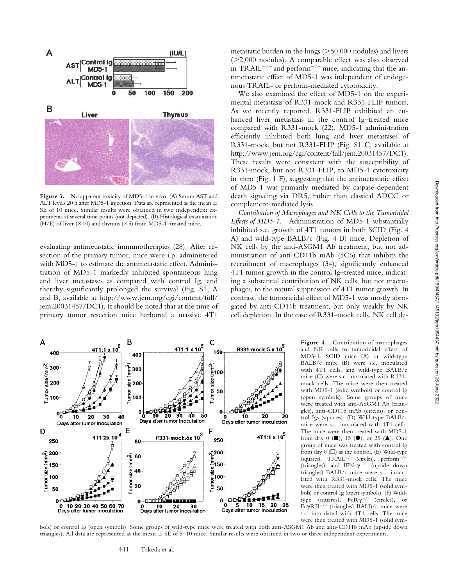

Figure 3. No apparent toxicity of MD5-1 in vivo. (A) Serum AST and ALT levels 20 h after MD5-1 injection. Data are represented as the mean  $\pm$ SE of 10 mice. Similar results were obtained in two independent experiments at several time points (not depicted). (B) Histological examination (H/E) of liver  $(\times 10)$  and thymus  $(\times 5)$  from MD5-1-treated mice.

evaluating antimetastatic immunotherapies (28). After resection of the primary tumor, mice were i.p. administered with MD5-1 to estimate the antimetastatic effect. Administration of MD5-1 markedly inhibited spontaneous lung and liver metastases as compared with control Ig, and thereby significantly prolonged the survival (Fig. S1, A and B, available at http://www.jem.org/cgi/content/full/ jem.20031457/DC1). It should be noted that at the time of primary tumor resection mice harbored a massive 4T1

metastatic burden in the lungs ( 50,000 nodules) and livers ( 2,000 nodules). A comparable effect was also observed in TRAIL<sup> $-/-$ </sup> and perforin<sup> $-/-$ </sup> mice, indicating that the antimetastatic effect of MD5-1 was independent of endogenous TRAIL- or perforin-mediated cytotoxicity.

We also examined the effect of MD5-1 on the experimental metastasis of R331-mock and R331-FLIP tumors. As we recently reported, R331-FLIP exhibited an enhanced liver metastasis in the control Ig–treated mice compared with R331-mock (22). MD5-1 administration efficiently inhibited both lung and liver metastases of R331-mock, but not R331-FLIP (Fig. S1 C, available at http://www.jem.org/cgi/content/full/jem.20031457/DC1). These results were consistent with the susceptibility of R331-mock, but not R331-FLIP, to MD5-1 cytotoxicity in vitro (Fig. 1 F), suggesting that the antimetastatic effect of MD5-1 was primarily mediated by caspase-dependent death signaling via DR5, rather than classical ADCC or complement-mediated lysis.

*Contribution of Macrophages and NK Cells to the Tumoricidal Effects of MD5-1.* Administration of MD5-1 substantially inhibited s.c. growth of 4T1 tumors in both SCID (Fig. 4 A) and wild-type BALB/c (Fig. 4 B) mice. Depletion of NK cells by the anti-ASGM1 Ab treatment, but not administration of anti-CD11b mAb (5C6) that inhibits the recruitment of macrophages (34), significantly enhanced 4T1 tumor growth in the control Ig–treated mice, indicating a substantial contribution of NK cells, but not macrophages, to the natural suppression of 4T1 tumor growth. In contrast, the tumoricidal effect of MD5-1 was mostly abrogated by anti-CD11b treatment, but only weakly by NK cell depletion. In the case of R331-mock cells, NK cell de-



**Figure 4.** Contribution of macrophages and NK cells to tumoricidal effect of MD5-1. SCID mice (A) or wild-type BALB/c mice (B) were s.c. inoculated with 4T1 cells, and wild-type BALB/c mice (C) were s.c. inoculated with R331 mock cells. The mice were then treated with MD5-1 (solid symbols) or control Ig (open symbols). Some groups of mice were treated with anti-ASGM1 Ab (triangles), anti-CD11b mAb (circles), or control Igs (squares). (D) Wild-type BALB/c mice were s.c. inoculated with 4T1 cells. The mice were then treated with MD5-1 from day 0 ( $\blacksquare$ ), 15 ( $\spadesuit$ ), or 25 ( $\spadesuit$ ). One group of mice was treated with control Ig from day  $0$  ( $\square$ ) as the control. (E) Wild-type (squares),  $TRAIL^{-/-}$  (circles), perforin<sup>-</sup> (triangles), and IFN- $\gamma^{-/-}$  (upside down triangles) BALB/c mice were s.c. inoculated with R331-mock cells. The mice were then treated with MD5-1 (solid symbols) or control Ig (open symbols). (F) Wildtype (squares),  $FcR\gamma^{-/-}$  (circles), or FcyRII<sup>-/-</sup> (triangles) BALB/c mice were s.c. inoculated with 4T1 cells. The mice were then treated with MD5-1 (solid sym-

bols) or control Ig (open symbols). Some groups of wild-type mice were treated with both anti-ASGM1 Ab and anti-CD11b mAb (upside down triangles). All data are represented as the mean  $\pm$  SE of 5–10 mice. Similar results were obtained in two or three independent experiments.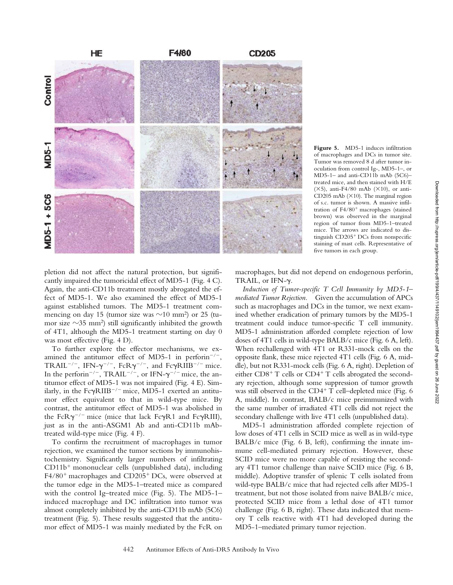

**Figure 5.** MD5-1 induces infiltration of macrophages and DCs in tumor site. Tumor was removed 8 d after tumor inoculation from control Ig-, MD5-1–, or MD5-1– and anti-CD11b mAb (5C6)– treated mice, and then stained with H/E  $(X5)$ , anti-F4/80 mAb  $(X10)$ , or anti-CD205 mAb  $(X10)$ . The marginal region of s.c. tumor is shown. A massive infiltration of F4/80 macrophages (stained brown) was observed in the marginal region of tumor from MD5-1–treated mice. The arrows are indicated to distinguish CD205 DCs from nonspecific staining of mast cells. Representative of five tumors in each group.

pletion did not affect the natural protection, but significantly impaired the tumoricidal effect of MD5-1 (Fig. 4 C). Again, the anti-CD11b treatment mostly abrogated the effect of MD5-1. We also examined the effect of MD5-1 against established tumors. The MD5-1 treatment commencing on day 15 (tumor size was  $\sim$ 10 mm<sup>2</sup>) or 25 (tumor size  $\sim$ 35 mm<sup>2</sup>) still significantly inhibited the growth of 4T1, although the MD5-1 treatment starting on day 0 was most effective (Fig. 4 D).

To further explore the effector mechanisms, we examined the antitumor effect of MD5-1 in perforin<sup>-/-</sup>, TRAIL<sup>-/-</sup>, IFN- $\gamma^{-/-}$ , FcR $\gamma^{-/-}$ , and Fc $\gamma$ RIIB<sup>-/-</sup> mice. In the perforin<sup>-/-</sup>, TRAIL<sup>-/-</sup>, or IFN- $\gamma$ <sup>-/-</sup> mice, the antitumor effect of MD5-1 was not impaired (Fig. 4 E). Similarly, in the  $Fc\gamma R IIB^{-/-}$  mice, MD5-1 exerted an antitumor effect equivalent to that in wild-type mice. By contrast, the antitumor effect of MD5-1 was abolished in the FcR $\gamma^{-/-}$  mice (mice that lack Fc $\gamma$ R1 and Fc $\gamma$ RIII), just as in the anti-ASGM1 Ab and anti-CD11b mAbtreated wild-type mice (Fig. 4 F).

To confirm the recruitment of macrophages in tumor rejection, we examined the tumor sections by immunohistochemistry. Significantly larger numbers of infiltrating CD11b mononuclear cells (unpublished data), including F4/80 macrophages and CD205 DCs, were observed at the tumor edge in the MD5-1–treated mice as compared with the control Ig–treated mice (Fig. 5). The MD5-1– induced macrophage and DC infiltration into tumor was almost completely inhibited by the anti-CD11b mAb (5C6) treatment (Fig. 5). These results suggested that the antitumor effect of MD5-1 was mainly mediated by the FcR on

macrophages, but did not depend on endogenous perforin, TRAIL, or IFN- $\gamma$ .

*Induction of Tumor-specific T Cell Immunity by MD5-1– mediated Tumor Rejection.* Given the accumulation of APCs such as macrophages and DCs in the tumor, we next examined whether eradication of primary tumors by the MD5-1 treatment could induce tumor-specific T cell immunity. MD5-1 administration afforded complete rejection of low doses of 4T1 cells in wild-type BALB/c mice (Fig. 6 A, left). When rechallenged with 4T1 or R331-mock cells on the opposite flank, these mice rejected 4T1 cells (Fig. 6 A, middle), but not R331-mock cells (Fig. 6 A, right). Depletion of either CD8<sup>+</sup> T cells or CD4<sup>+</sup> T cells abrogated the secondary rejection, although some suppression of tumor growth was still observed in the CD4<sup>+</sup> T cell-depleted mice (Fig. 6 A, middle). In contrast, BALB/c mice preimmunized with the same number of irradiated 4T1 cells did not reject the secondary challenge with live 4T1 cells (unpublished data).

MD5-1 administration afforded complete rejection of low doses of 4T1 cells in SCID mice as well as in wild-type  $BALB/c$  mice (Fig. 6 B, left), confirming the innate immune cell-mediated primary rejection. However, these SCID mice were no more capable of resisting the secondary 4T1 tumor challenge than naive SCID mice (Fig. 6 B, middle). Adoptive transfer of splenic T cells isolated from wild-type BALB/c mice that had rejected cells after MD5-1 treatment, but not those isolated from naive BALB/c mice, protected SCID mice from a lethal dose of 4T1 tumor challenge (Fig. 6 B, right). These data indicated that memory T cells reactive with 4T1 had developed during the MD5-1–mediated primary tumor rejection.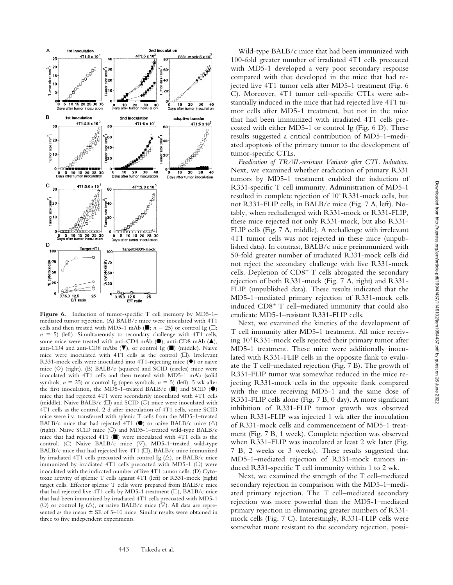

Figure 6. Induction of tumor-specific T cell memory by MD5-1mediated tumor rejection. (A) BALB/c mice were inoculated with 4T1 cells and then treated with MD5-1 mAb ( $\blacksquare$ ; *n* = 25) or control Ig ( $\Box$ ;  $n = 5$ ) (left). Simultaneously to secondary challenge with 4T1 cells, some mice were treated with anti-CD4 mAb  $(\bullet)$ , anti-CD8 mAb  $(\bullet)$ , anti-CD4 and anti-CD8 mAbs  $(\blacktriangledown)$ , or control Ig  $(\blacksquare)$  (middle). Naive mice were inoculated with 4T1 cells as the control  $(\Box)$ . Irrelevant R331-mock cells were inoculated into 4T1-rejecting mice  $(\blacklozenge)$  or naive mice  $(\Diamond)$  (right). (B) BALB/c (squares) and SCID (circles) mice were inoculated with 4T1 cells and then treated with MD5-1 mAb (solid symbols;  $n = 25$ ) or control Ig (open symbols;  $n = 5$ ) (left). 5 wk after the first inoculation, the MD5-1-treated BALB/c ( $\Box$ ) and SCID ( $\Theta$ ) mice that had rejected 4T1 were secondarily inoculated with 4T1 cells (middle). Naive BALB/c  $(\Box)$  and SCID  $(\bigcirc)$  mice were inoculated with 4T1 cells as the control. 2 d after inoculation of 4T1 cells, some SCID mice were i.v. transferred with splenic T cells from the MD5-1–treated BALB/c mice that had rejected 4T1 ( $\bullet$ ) or naive BALB/c mice ( $\triangle$ ) (right). Naive SCID mice (O) and MD5-1-treated wild-type BALB/c mice that had rejected 4T1 ( $\blacksquare$ ) were inoculated with 4T1 cells as the control. (C) Naive BALB/c mice  $(\nabla)$ , MD5-1-treated wild-type BALB/c mice that had rejected live 4T1 ( $\square$ ), BALB/c mice immunized by irradiated 4T1 cells precoated with control Ig ( $\triangle$ ), or BALB/c mice immunized by irradiated 4T1 cells precoated with MD5-1 ( $\circlearrowright$ ) were inoculated with the indicated number of live 4T1 tumor cells. (D) Cytotoxic activity of splenic T cells against 4T1 (left) or R331-mock (right) target cells. Effector splenic T cells were prepared from BALB/c mice that had rejected live 4T1 cells by MD5-1 treatment ( $\square$ ), BALB/c mice that had been immunized by irradiated 4T1 cells precoated with MD5-1 (O) or control Ig ( $\triangle$ ), or naive BALB/c mice ( $\nabla$ ). All data are represented as the mean  $\pm$  SE of 5–10 mice. Similar results were obtained in three to five independent experiments.

Wild-type BALB/c mice that had been immunized with 100-fold greater number of irradiated 4T1 cells precoated with MD5-1 developed a very poor secondary response compared with that developed in the mice that had rejected live 4T1 tumor cells after MD5-1 treatment (Fig. 6 C). Moreover, 4T1 tumor cell–specific CTLs were substantially induced in the mice that had rejected live 4T1 tumor cells after MD5-1 treatment, but not in the mice that had been immunized with irradiated 4T1 cells precoated with either MD5-1 or control Ig (Fig. 6 D). These results suggested a critical contribution of MD5-1–mediated apoptosis of the primary tumor to the development of tumor-specific CTLs.

*Eradication of TRAIL-resistant Variants after CTL Induction.* Next, we examined whether eradication of primary R331 tumors by MD5-1 treatment enabled the induction of R331-specific T cell immunity. Administration of MD5-1 resulted in complete rejection of 104 R331-mock cells, but not R331-FLIP cells, in BALB/c mice (Fig. 7 A, left). Notably, when rechallenged with R331-mock or R331-FLIP, these mice rejected not only R331-mock, but also R331- FLIP cells (Fig. 7 A, middle). A rechallenge with irrelevant 4T1 tumor cells was not rejected in these mice (unpublished data). In contrast, BALB/c mice preimmunized with 50-fold greater number of irradiated R331-mock cells did not reject the secondary challenge with live R331-mock cells. Depletion of CD8<sup>+</sup> T cells abrogated the secondary rejection of both R331-mock (Fig. 7 A, right) and R331- FLIP (unpublished data). These results indicated that the MD5-1–mediated primary rejection of R331-mock cells induced CD8 T cell–mediated immunity that could also eradicate MD5-1–resistant R331-FLIP cells.

Next, we examined the kinetics of the development of T cell immunity after MD5-1 treatment. All mice receiving 104 R331-mock cells rejected their primary tumor after MD5-1 treatment. These mice were additionally inoculated with R331-FLIP cells in the opposite flank to evaluate the T cell–mediated rejection (Fig. 7 B). The growth of R331-FLIP tumor was somewhat reduced in the mice rejecting R331-mock cells in the opposite flank compared with the mice receiving MD5-1 and the same dose of R331-FLIP cells alone (Fig. 7 B, 0 day). A more significant inhibition of R331-FLIP tumor growth was observed when R331-FLIP was injected 1 wk after the inoculation of R331-mock cells and commencement of MD5-1 treatment (Fig. 7 B, 1 week). Complete rejection was observed when R331-FLIP was inoculated at least 2 wk later (Fig. 7 B, 2 weeks or 3 weeks). These results suggested that MD5-1–mediated rejection of R331-mock tumors induced R331-specific T cell immunity within 1 to 2 wk.

Next, we examined the strength of the T cell–mediated secondary rejection in comparison with the MD5-1–mediated primary rejection. The T cell–mediated secondary rejection was more powerful than the MD5-1–mediated primary rejection in eliminating greater numbers of R331 mock cells (Fig. 7 C). Interestingly, R331-FLIP cells were somewhat more resistant to the secondary rejection, possi-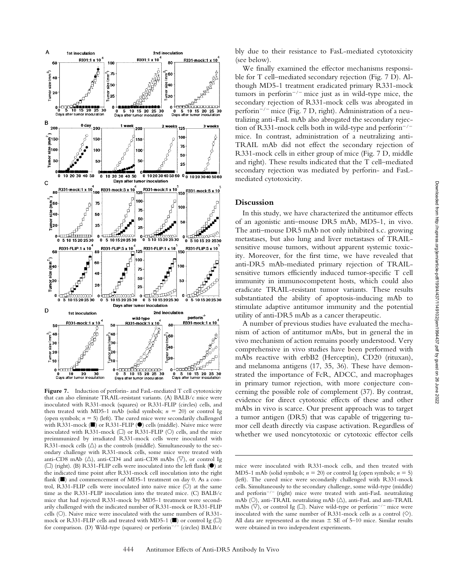

Figure 7. Induction of perforin- and FasL-mediated T cell cytotoxicity that can also eliminate TRAIL-resistant variants. (A) BALB/c mice were inoculated with R331-mock (squares) or R331-FLIP (circles) cells, and then treated with MD5-1 mAb (solid symbols;  $n = 20$ ) or control Ig (open symbols;  $n = 5$ ) (left). The cured mice were secondarily challenged with R331-mock  $(\blacksquare)$  or R331-FLIP  $(\lozenge)$  cells (middle). Naive mice were inoculated with R331-mock  $\Box$ ) or R331-FLIP ( $\Diamond$ ) cells, and the mice preimmunized by irradiated R331-mock cells were inoculated with R331-mock cells ( ) as the controls (middle). Simultaneously to the secondary challenge with R331-mock cells, some mice were treated with anti-CD8 mAb ( $\triangle$ ), anti-CD4 and anti-CD8 mAbs ( $\triangledown$ ), or control Ig  $(\Box)$  (right). (B) R331-FLIP cells were inoculated into the left flank ( $\bullet$ ) at the indicated time point after R331-mock cell inoculation into the right flank  $(\blacksquare)$  and commencement of MD5-1 treatment on day 0. As a control, R331-FLIP cells were inoculated into naive mice  $(O)$  at the same time as the R331-FLIP inoculation into the treated mice. (C) BALB/c mice that had rejected R331-mock by MD5-1 treatment were secondarily challenged with the indicated number of R331-mock or R331-FLIP cells  $(O)$ . Naive mice were inoculated with the same numbers of R331mock or R331-FLIP cells and treated with MD5-1 ( $\blacksquare$ ) or control Ig ( $\square$ ) for comparison. (D) Wild-type (squares) or perforin<sup>-/-</sup> (circles) BALB/c

We finally examined the effector mechanisms responsible for T cell–mediated secondary rejection (Fig. 7 D). Although MD5-1 treatment eradicated primary R331-mock tumors in perforin<sup>-/-</sup> mice just as in wild-type mice, the secondary rejection of R331-mock cells was abrogated in perform<sup>-/-</sup> mice (Fig. 7 D, right). Administration of a neutralizing anti-FasL mAb also abrogated the secondary rejection of R331-mock cells both in wild-type and perforin<sup>-/-</sup> mice. In contrast, administration of a neutralizing anti-TRAIL mAb did not effect the secondary rejection of R331-mock cells in either group of mice (Fig. 7 D, middle and right). These results indicated that the T cell–mediated secondary rejection was mediated by perforin- and FasLmediated cytotoxicity.

### **Discussion**

In this study, we have characterized the antitumor effects of an agonistic anti–mouse DR5 mAb, MD5-1, in vivo. The anti–mouse DR5 mAb not only inhibited s.c. growing metastases, but also lung and liver metastases of TRAILsensitive mouse tumors, without apparent systemic toxicity. Moreover, for the first time, we have revealed that anti-DR5 mAb-mediated primary rejection of TRAILsensitive tumors efficiently induced tumor-specific T cell immunity in immunocompetent hosts, which could also eradicate TRAIL-resistant tumor variants. These results substantiated the ability of apoptosis-inducing mAb to stimulate adaptive antitumor immunity and the potential utility of anti-DR5 mAb as a cancer therapeutic.

A number of previous studies have evaluated the mechanism of action of antitumor mAbs, but in general the in vivo mechanism of action remains poorly understood. Very comprehensive in vivo studies have been performed with mAbs reactive with erbB2 (Herceptin), CD20 (rituxan), and melanoma antigens (17, 35, 36). These have demonstrated the importance of FcR, ADCC, and macrophages in primary tumor rejection, with more conjecture concerning the possible role of complement (37). By contrast, evidence for direct cytotoxic effects of these and other mAbs in vivo is scarce. Our present approach was to target a tumor antigen (DR5) that was capable of triggering tumor cell death directly via caspase activation. Regardless of whether we used noncytotoxic or cytotoxic effector cells

mice were inoculated with R331-mock cells, and then treated with MD5-1 mAb (solid symbols;  $n = 20$ ) or control Ig (open symbols;  $n = 5$ ) (left). The cured mice were secondarily challenged with R331-mock cells. Simultaneously to the secondary challenge, some wild-type (middle) and perforin<sup>-/-</sup> (right) mice were treated with anti-FasL neutralizing mAb (O), anti-TRAIL neutralizing mAb ( $\triangle$ ), anti-FasL and anti-TRAIL mAbs ( $\nabla$ ), or control Ig ( $\square$ ). Naive wild-type or perforin<sup>-/-</sup> mice were inoculated with the same number of R331-mock cells as a control  $(\Diamond)$ . All data are represented as the mean  $\pm$  SE of 5–10 mice. Similar results were obtained in two independent experiments.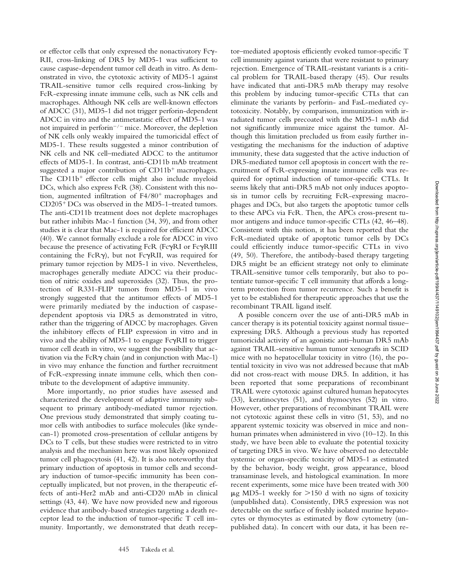or effector cells that only expressed the nonactivatory Fcy-RII, cross-linking of DR5 by MD5-1 was sufficient to cause caspase-dependent tumor cell death in vitro. As demonstrated in vivo, the cytotoxic activity of MD5-1 against TRAIL-sensitive tumor cells required cross-linking by FcR-expressing innate immune cells, such as NK cells and macrophages. Although NK cells are well-known effectors of ADCC (31), MD5-1 did not trigger perforin-dependent ADCC in vitro and the antimetastatic effect of MD5-1 was not impaired in perforin<sup> $-/-$ </sup> mice. Moreover, the depletion of NK cells only weakly impaired the tumoricidal effect of MD5-1. These results suggested a minor contribution of NK cells and NK cell–mediated ADCC to the antitumor effects of MD5-1. In contrast, anti-CD11b mAb treatment suggested a major contribution of CD11b macrophages. The CD11b<sup>+</sup> effector cells might also include myeloid DCs, which also express FcR (38). Consistent with this notion, augmented infiltration of F4/80 macrophages and CD205 DCs was observed in the MD5-1–treated tumors. The anti-CD11b treatment does not deplete macrophages but rather inhibits Mac-1 function (34, 39), and from other studies it is clear that Mac-1 is required for efficient ADCC (40). We cannot formally exclude a role for ADCC in vivo because the presence of activating FcR (FcyRI or FcyRIII containing the FcRy), but not FcyRII, was required for primary tumor rejection by MD5-1 in vivo. Nevertheless, macrophages generally mediate ADCC via their production of nitric oxides and superoxides (32). Thus, the protection of R331-FLIP tumors from MD5-1 in vivo strongly suggested that the antitumor effects of MD5-1 were primarily mediated by the induction of caspasedependent apoptosis via DR5 as demonstrated in vitro, rather than the triggering of ADCC by macrophages. Given the inhibitory effects of FLIP expression in vitro and in vivo and the ability of MD5-1 to engage FcyRII to trigger tumor cell death in vitro, we suggest the possibility that activation via the FcR $\gamma$  chain (and in conjunction with Mac-1) in vivo may enhance the function and further recruitment of FcR-expressing innate immune cells, which then contribute to the development of adaptive immunity.

More importantly, no prior studies have assessed and characterized the development of adaptive immunity subsequent to primary antibody-mediated tumor rejection. One previous study demonstrated that simply coating tumor cells with antibodies to surface molecules (like syndecan-1) promoted cross-presentation of cellular antigens by DCs to T cells, but these studies were restricted to in vitro analysis and the mechanism here was most likely opsonized tumor cell phagocytosis (41, 42). It is also noteworthy that primary induction of apoptosis in tumor cells and secondary induction of tumor-specific immunity has been conceptually implicated, but not proven, in the therapeutic effects of anti-Her2 mAb and anti-CD20 mAb in clinical settings (43, 44). We have now provided new and rigorous evidence that antibody-based strategies targeting a death receptor lead to the induction of tumor-specific T cell immunity. Importantly, we demonstrated that death receptor–mediated apoptosis efficiently evoked tumor-specific T cell immunity against variants that were resistant to primary rejection. Emergence of TRAIL-resistant variants is a critical problem for TRAIL-based therapy (45). Our results have indicated that anti-DR5 mAb therapy may resolve this problem by inducing tumor-specific CTLs that can eliminate the variants by perforin- and FasL-mediated cytotoxicity. Notably, by comparison, immunization with irradiated tumor cells precoated with the MD5-1 mAb did not significantly immunize mice against the tumor. Although this limitation precluded us from easily further investigating the mechanisms for the induction of adaptive immunity, these data suggested that the active induction of DR5-mediated tumor cell apoptosis in concert with the recruitment of FcR-expressing innate immune cells was required for optimal induction of tumor-specific CTLs. It seems likely that anti-DR5 mAb not only induces apoptosis in tumor cells by recruiting FcR-expressing macrophages and DCs, but also targets the apoptotic tumor cells to these APCs via FcR. Then, the APCs cross-present tumor antigens and induce tumor-specific CTLs (42, 46–48). Consistent with this notion, it has been reported that the FcR-mediated uptake of apoptotic tumor cells by DCs could efficiently induce tumor-specific CTLs in vivo (49, 50). Therefore, the antibody-based therapy targeting DR5 might be an efficient strategy not only to eliminate TRAIL-sensitive tumor cells temporarily, but also to potentiate tumor-specific T cell immunity that affords a longterm protection from tumor recurrence. Such a benefit is yet to be established for therapeutic approaches that use the recombinant TRAIL ligand itself.

A possible concern over the use of anti-DR5 mAb in cancer therapy is its potential toxicity against normal tissue– expressing DR5. Although a previous study has reported tumoricidal activity of an agonistic anti–human DR5 mAb against TRAIL-sensitive human tumor xenografts in SCID mice with no hepatocellular toxicity in vitro (16), the potential toxicity in vivo was not addressed because that mAb did not cross-react with mouse DR5. In addition, it has been reported that some preparations of recombinant TRAIL were cytotoxic against cultured human hepatocytes (33), keratinocytes (51), and thymocytes (52) in vitro. However, other preparations of recombinant TRAIL were not cytotoxic against these cells in vitro (51, 53), and no apparent systemic toxicity was observed in mice and nonhuman primates when administered in vivo (10–12). In this study, we have been able to evaluate the potential toxicity of targeting DR5 in vivo. We have observed no detectable systemic or organ-specific toxicity of MD5-1 as estimated by the behavior, body weight, gross appearance, blood transaminase levels, and histological examination. In more recent experiments, some mice have been treated with 300  $\mu$ g MD5-1 weekly for  $>150$  d with no signs of toxicity (unpublished data). Consistently, DR5 expression was not detectable on the surface of freshly isolated murine hepatocytes or thymocytes as estimated by flow cytometry (unpublished data). In concert with our data, it has been re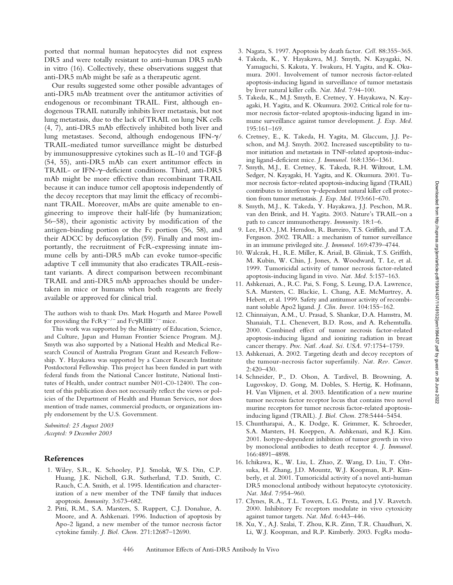ported that normal human hepatocytes did not express DR5 and were totally resistant to anti–human DR5 mAb in vitro (16). Collectively, these observations suggest that anti-DR5 mAb might be safe as a therapeutic agent.

Our results suggested some other possible advantages of anti-DR5 mAb treatment over the antitumor activities of endogenous or recombinant TRAIL. First, although endogenous TRAIL naturally inhibits liver metastasis, but not lung metastasis, due to the lack of TRAIL on lung NK cells (4, 7), anti-DR5 mAb effectively inhibited both liver and lung metastases. Second, although endogenous IFN- $\gamma/$ TRAIL-mediated tumor surveillance might be disturbed by immunosuppressive cytokines such as IL-10 and TGF- $\beta$ (54, 55), anti-DR5 mAb can exert antitumor effects in TRAIL- or IFN-y-deficient conditions. Third, anti-DR5 mAb might be more effective than recombinant TRAIL because it can induce tumor cell apoptosis independently of the decoy receptors that may limit the efficacy of recombinant TRAIL. Moreover, mAbs are quite amenable to engineering to improve their half-life (by humanization; 56–58), their agonistic activity by modification of the antigen-binding portion or the Fc portion (56, 58), and their ADCC by defucosylation (59). Finally and most importantly, the recruitment of FcR-expressing innate immune cells by anti-DR5 mAb can evoke tumor-specific adaptive T cell immunity that also eradicates TRAIL-resistant variants. A direct comparison between recombinant TRAIL and anti-DR5 mAb approaches should be undertaken in mice or humans when both reagents are freely available or approved for clinical trial.

The authors wish to thank Drs. Mark Hogarth and Maree Powell for providing the FcR $\gamma^{-/-}$  and Fc $\gamma$ RIIB<sup>-/-</sup> mice.

This work was supported by the Ministry of Education, Science, and Culture, Japan and Human Frontier Science Program. M.J. Smyth was also supported by a National Health and Medical Research Council of Australia Program Grant and Research Fellowship. Y. Hayakawa was supported by a Cancer Research Institute Postdoctoral Fellowship. This project has been funded in part with federal funds from the National Cancer Institute, National Institutes of Health, under contract number N01-C0-12400. The content of this publication does not necessarily reflect the views or policies of the Department of Health and Human Services, nor does mention of trade names, commercial products, or organizations imply endorsement by the U.S. Government.

*Submitted: 25 August 2003 Accepted: 9 December 2003*

## **References**

- 1. Wiley, S.R., K. Schooley, P.J. Smolak, W.S. Din, C.P. Huang, J.K. Nicholl, G.R. Sutherland, T.D. Smith, C. Rauch, C.A. Smith, et al. 1995. Identification and characterization of a new member of the TNF family that induces apoptosis. *Immunity.* 3:673–682.
- 2. Pitti, R.M., S.A. Marsters, S. Ruppert, C.J. Donahue, A. Moore, and A. Ashkenazi. 1996. Induction of apoptosis by Apo-2 ligand, a new member of the tumor necrosis factor cytokine family. *J. Biol. Chem.* 271:12687–12690.
- 3. Nagata, S. 1997. Apoptosis by death factor. *Cell.* 88:355–365.
- 4. Takeda, K., Y. Hayakawa, M.J. Smyth, N. Kayagaki, N. Yamaguchi, S. Kakuta, Y. Iwakura, H. Yagita, and K. Okumura. 2001. Involvement of tumor necrosis factor-related apoptosis-inducing ligand in surveillance of tumor metastasis by liver natural killer cells. *Nat. Med.* 7:94–100.
- 5. Takeda, K., M.J. Smyth, E. Cretney, Y. Hayakawa, N. Kayagaki, H. Yagita, and K. Okumura. 2002. Critical role for tumor necrosis factor–related apoptosis-inducing ligand in immune surveillance against tumor development. *J. Exp. Med.* 195:161–169.
- 6. Cretney, E., K. Takeda, H. Yagita, M. Glaccum, J.J. Peschon, and M.J. Smyth. 2002. Increased susceptibility to tumor initiation and metastasis in TNF-related apoptosis-inducing ligand-deficient mice. *J. Immunol.* 168:1356–1361.
- 7. Smyth, M.J., E. Cretney, K. Takeda, R.H. Wiltrout, L.M. Sedger, N. Kayagaki, H. Yagita, and K. Okumura. 2001. Tumor necrosis factor–related apoptosis-inducing ligand (TRAIL) contributes to interferon  $\gamma$ -dependent natural killer cell protection from tumor metastasis. *J. Exp. Med.* 193:661–670.
- 8. Smyth, M.J., K. Takeda, Y. Hayakawa, J.J. Peschon, M.R. van den Brink, and H. Yagita. 2003. Nature's TRAIL–on a path to cancer immunotherapy. *Immunity.* 18:1–6.
- 9. Lee, H.O., J.M. Herndon, R. Barreiro, T.S. Griffith, and T.A. Ferguson. 2002. TRAIL: a mechanism of tumor surveillance in an immune privileged site. *J. Immunol.* 169:4739–4744.
- 10. Walczak, H., R.E. Miller, K. Ariail, B. Gliniak, T.S. Griffith, M. Kubin, W. Chin, J. Jones, A. Woodward, T. Le, et al. 1999. Tumoricidal activity of tumor necrosis factor-related apoptosis-inducing ligand in vivo. *Nat. Med.* 5:157–163.
- 11. Ashkenazi, A., R.C. Pai, S. Fong, S. Leung, D.A. Lawrence, S.A. Marsters, C. Blackie, L. Chang, A.E. McMurtrey, A. Hebert, et al. 1999. Safety and antitumor activity of recombinant soluble Apo2 ligand. *J. Clin. Invest.* 104:155–162.
- 12. Chinnaiyan, A.M., U. Prasad, S. Shankar, D.A. Hamstra, M. Shanaiah, T.L. Chenevert, B.D. Ross, and A. Rehemtulla. 2000. Combined effect of tumor necrosis factor-related apoptosis-inducing ligand and ionizing radiation in breast cancer therapy. *Proc. Natl. Acad. Sci. USA.* 97:1754–1759.
- 13. Ashkenazi, A. 2002. Targeting death and decoy receptors of the tumour-necrosis factor superfamily. *Nat. Rev. Cancer.* 2:420–430.
- 14. Schneider, P., D. Olson, A. Tardivel, B. Browning, A. Lugovskoy, D. Gong, M. Dobles, S. Hertig, K. Hofmann, H. Van Vlijmen, et al. 2003. Identification of a new murine tumor necrosis factor receptor locus that contains two novel murine receptors for tumor necrosis factor-related apoptosisinducing ligand (TRAIL). *J. Biol. Chem.* 278:5444–5454.
- 15. Chuntharapai, A., K. Dodge, K. Grimmer, K. Schroeder, S.A. Marsters, H. Koeppen, A. Ashkenazi, and K.J. Kim. 2001. Isotype-dependent inhibition of tumor growth in vivo by monoclonal antibodies to death receptor 4. *J. Immunol.* 166:4891–4898.
- 16. Ichikawa, K., W. Liu, L. Zhao, Z. Wang, D. Liu, T. Ohtsuka, H. Zhang, J.D. Mountz, W.J. Koopman, R.P. Kimberly, et al. 2001. Tumoricidal activity of a novel anti-human DR5 monoclonal antibody without hepatocyte cytotoxicity. *Nat. Med.* 7:954–960.
- 17. Clynes, R.A., T.L. Towers, L.G. Presta, and J.V. Ravetch. 2000. Inhibitory Fc receptors modulate in vivo cytoxicity against tumor targets. *Nat. Med.* 6:443–446.
- 18. Xu, Y., A.J. Szalai, T. Zhou, K.R. Zinn, T.R. Chaudhuri, X. Li, W.J. Koopman, and R.P. Kimberly. 2003. FcgRs modu-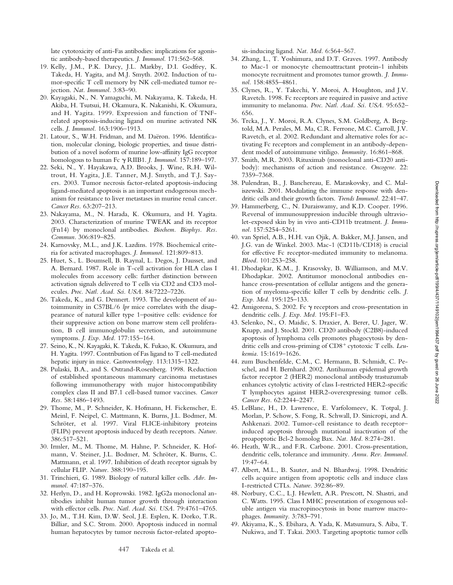late cytotoxicity of anti-Fas antibodies: implications for agonistic antibody-based therapeutics. *J. Immunol.* 171:562–568.

- 19. Kelly, J.M., P.K. Darcy, J.L. Markby, D.I. Godfrey, K. Takeda, H. Yagita, and M.J. Smyth. 2002. Induction of tumor-specific T cell memory by NK cell-mediated tumor rejection. *Nat. Immunol.* 3:83–90.
- 20. Kayagaki, N., N. Yamaguchi, M. Nakayama, K. Takeda, H. Akiba, H. Tsutsui, H. Okamura, K. Nakanishi, K. Okumura, and H. Yagita. 1999. Expression and function of TNFrelated apoptosis-inducing ligand on murine activated NK cells. *J. Immunol.* 163:1906–1913.
- 21. Latour, S., W.H. Fridman, and M. Daëron. 1996. Identification, molecular cloning, biologic properties, and tissue distribution of a novel isoform of murine low-affinity IgG receptor homologous to human Fc  $\gamma$  RIIB1. *J. Immunol*. 157:189-197.
- 22. Seki, N., Y. Hayakawa, A.D. Brooks, J. Wine, R.H. Wiltrout, H. Yagita, J.E. Tanner, M.J. Smyth, and T.J. Sayers. 2003. Tumor necrosis factor-related apoptosis-inducing ligand-mediated apoptosis is an important endogenous mechanism for resistance to liver metastases in murine renal cancer. *Cancer Res.* 63:207–213.
- 23. Nakayama, M., N. Harada, K. Okumura, and H. Yagita. 2003. Characterization of murine TWEAK and its receptor (Fn14) by monoclonal antibodies. *Biochem. Biophys. Res. Commun.* 306:819–825.
- 24. Karnovsky, M.L., and J.K. Lazdins. 1978. Biochemical criteria for activated macrophages. *J. Immunol.* 121:809–813.
- 25. Huet, S., L. Boumsell, B. Raynal, L. Degos, J. Dausset, and A. Bernard. 1987. Role in T-cell activation for HLA class I molecules from accessory cells: further distinction between activation signals delivered to T cells via CD2 and CD3 molecules. *Proc. Natl. Acad. Sci. USA.* 84:7222–7226.
- 26. Takeda, K., and G. Dennert. 1993. The development of autoimmunity in C57BL/6 *lpr* mice correlates with the disappearance of natural killer type 1–positive cells: evidence for their suppressive action on bone marrow stem cell proliferation, B cell immunoglobulin secretion, and autoimmune symptoms. *J. Exp. Med.* 177:155–164.
- 27. Seino, K., N. Kayagaki, K. Takeda, K. Fukao, K. Okumura, and H. Yagita. 1997. Contribution of Fas ligand to T cell-mediated hepatic injury in mice. *Gastroenterology.* 113:1315–1322.
- 28. Pulaski, B.A., and S. Ostrand-Rosenberg. 1998. Reduction of established spontaneous mammary carcinoma metastases following immunotherapy with major histocompatibility complex class II and B7.1 cell-based tumor vaccines. *Cancer Res.* 58:1486–1493.
- 29. Thome, M., P. Schneider, K. Hofmann, H. Fickenscher, E. Meinl, F. Neipel, C. Mattmann, K. Burns, J.L. Bodmer, M. Schröter, et al. 1997. Viral FLICE-inhibitory proteins (FLIPs) prevent apoptosis induced by death receptors. *Nature.* 386:517–521.
- 30. Irmler, M., M. Thome, M. Hahne, P. Schneider, K. Hofmann, V. Steiner, J.L. Bodmer, M. Schröter, K. Burns, C. Mattmann, et al. 1997. Inhibition of death receptor signals by cellular FLIP. *Nature.* 388:190–195.
- 31. Trinchieri, G. 1989. Biology of natural killer cells. *Adv. Immunol.* 47:187–376.
- 32. Herlyn, D., and H. Koprowski. 1982. IgG2a monoclonal antibodies inhibit human tumor growth through interaction with effector cells. *Proc. Natl. Acad. Sci. USA.* 79:4761–4765.
- 33. Jo, M., T.H. Kim, D.W. Seol, J.E. Esplen, K. Dorko, T.R. Billiar, and S.C. Strom. 2000. Apoptosis induced in normal human hepatocytes by tumor necrosis factor-related apopto-

sis-inducing ligand. *Nat. Med.* 6:564–567.

- 34. Zhang, L., T. Yoshimura, and D.T. Graves. 1997. Antibody to Mac-1 or monocyte chemoattractant protein-1 inhibits monocyte recruitment and promotes tumor growth. *J. Immunol.* 158:4855–4861.
- 35. Clynes, R., Y. Takechi, Y. Moroi, A. Houghton, and J.V. Ravetch. 1998. Fc receptors are required in passive and active immunity to melanoma. *Proc. Natl. Acad. Sci. USA.* 95:652– 656.
- 36. Trcka, J., Y. Moroi, R.A. Clynes, S.M. Goldberg, A. Bergtold, M.A. Perales, M. Ma, C.R. Ferrone, M.C. Carroll, J.V. Ravetch, et al. 2002. Redundant and alternative roles for activating Fc receptors and complement in an antibody-dependent model of autoimmune vitiligo. *Immunity.* 16:861–868.
- 37. Smith, M.R. 2003. Rituximab (monoclonal anti-CD20 antibody): mechanisms of action and resistance. *Oncogene.* 22: 7359–7368.
- 38. Pulendran, B., J. Banchereau, E. Maraskovsky, and C. Maliszewski. 2001. Modulating the immune response with dendritic cells and their growth factors. *Trends Immunol.* 22:41–47.
- 39. Hammerberg, C., N. Duraiswamy, and K.D. Cooper. 1996. Reversal of immunosuppression inducible through ultraviolet-exposed skin by in vivo anti-CD11b treatment. *J. Immunol.* 157:5254–5261.
- 40. van Spriel, A.B., H.H. van Ojik, A. Bakker, M.J. Jansen, and J.G. van de Winkel. 2003. Mac-1 (CD11b/CD18) is crucial for effective Fc receptor-mediated immunity to melanoma. *Blood.* 101:253–258.
- 41. Dhodapkar, K.M., J. Krasovsky, B. Williamson, and M.V. Dhodapkar. 2002. Antitumor monoclonal antibodies enhance cross-presentation of cellular antigens and the generation of myeloma-specific killer T cells by dendritic cells. *J. Exp. Med.* 195:125–133.
- 42. Amigorena, S. 2002. Fc  $\gamma$  receptors and cross-presentation in dendritic cells. *J. Exp. Med.* 195:F1–F3.
- 43. Selenko, N., O. Maidic, S. Draxier, A. Berer, U. Jager, W. Knapp, and J. Stockl. 2001. CD20 antibody (C2B8)-induced apoptosis of lymphoma cells promotes phagocytosis by dendritic cells and cross-priming of CD8<sup>+</sup> cytotoxic T cells. Leu*kemia.* 15:1619–1626.
- 44. zum Buschenfelde, C.M., C. Hermann, B. Schmidt, C. Peschel, and H. Bernhard. 2002. Antihuman epidermal growth factor receptor 2 (HER2) monoclonal antibody trastuzumab enhances cytolytic activity of class I-restricted HER2-specific T lymphocytes against HER2-overexpressing tumor cells. *Cancer Res.* 62:2244–2247.
- 45. LeBlanc, H., D. Lawrence, E. Varfolomeev, K. Totpal, J. Morlan, P. Schow, S. Fong, R. Schwall, D. Sinicropi, and A. Ashkenazi. 2002. Tumor-cell resistance to death receptor– induced apoptosis through mutational inactivation of the proapoptotic Bcl-2 homolog Bax. *Nat. Med.* 8:274–281.
- 46. Heath, W.R., and F.R. Carbone. 2001. Cross-presentation, dendritic cells, tolerance and immunity. *Annu. Rev. Immunol.* 19:47–64.
- 47. Albert, M.L., B. Sauter, and N. Bhardwaj. 1998. Dendritic cells acquire antigen from apoptotic cells and induce class I-restricted CTLs. *Nature.* 392:86–89.
- 48. Norbury, C.C., L.J. Hewlett, A.R. Prescott, N. Shastri, and C. Watts. 1995. Class I MHC presentation of exogenous soluble antigen via macropinocytosis in bone marrow macrophages. *Immunity.* 3:783–791.
- 49. Akiyama, K., S. Ebihara, A. Yada, K. Matsumura, S. Aiba, T. Nukiwa, and T. Takai. 2003. Targeting apoptotic tumor cells